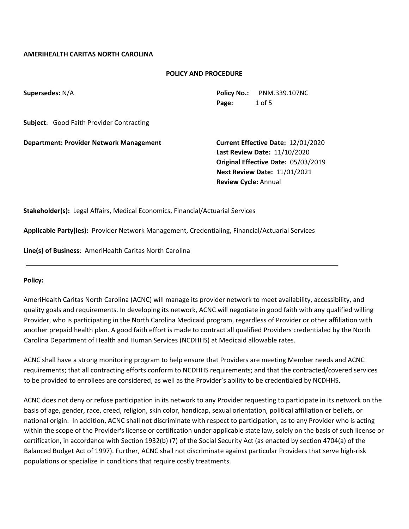## **AMERIHEALTH CARITAS NORTH CAROLINA**

#### **POLICY AND PROCEDURE**

**Supersedes:** N/A<br> **Policy No.:** PNM.339.107NC **Page:** 1 of 5

**Subject**: Good Faith Provider Contracting

**Department: Provider Network Management Current Effective Date:** 12/01/2020

 **Last Review Date:** 11/10/2020 **Original Effective Date:** 05/03/2019 **Next Review Date:** 11/01/2021  **Review Cycle:** Annual

**Stakeholder(s):** Legal Affairs, Medical Economics, Financial/Actuarial Services

**Applicable Party(ies):** Provider Network Management, Credentialing, Financial/Actuarial Services

**Line(s) of Business**: AmeriHealth Caritas North Carolina

#### **Policy:**

AmeriHealth Caritas North Carolina (ACNC) will manage its provider network to meet availability, accessibility, and quality goals and requirements. In developing its network, ACNC will negotiate in good faith with any qualified willing Provider, who is participating in the North Carolina Medicaid program, regardless of Provider or other affiliation with another prepaid health plan. A good faith effort is made to contract all qualified Providers credentialed by the North Carolina Department of Health and Human Services (NCDHHS) at Medicaid allowable rates.

ACNC shall have a strong monitoring program to help ensure that Providers are meeting Member needs and ACNC requirements; that all contracting efforts conform to NCDHHS requirements; and that the contracted/covered services to be provided to enrollees are considered, as well as the Provider's ability to be credentialed by NCDHHS.

ACNC does not deny or refuse participation in its network to any Provider requesting to participate in its network on the basis of age, gender, race, creed, religion, skin color, handicap, sexual orientation, political affiliation or beliefs, or national origin. In addition, ACNC shall not discriminate with respect to participation, as to any Provider who is acting within the scope of the Provider's license or certification under applicable state law, solely on the basis of such license or certification, in accordance with Section 1932(b) (7) of the Social Security Act (as enacted by section 4704(a) of the Balanced Budget Act of 1997). Further, ACNC shall not discriminate against particular Providers that serve high-risk populations or specialize in conditions that require costly treatments.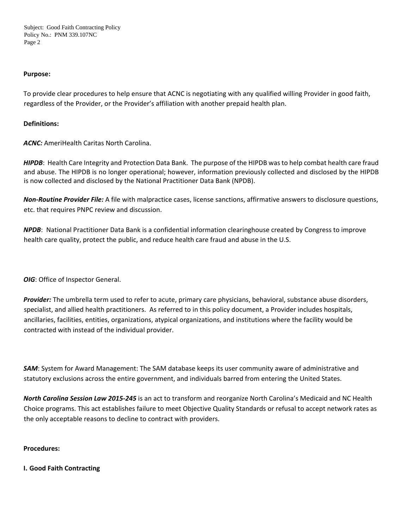Subject: Good Faith Contracting Policy Policy No.: PNM 339.107NC Page 2

#### **Purpose:**

To provide clear procedures to help ensure that ACNC is negotiating with any qualified willing Provider in good faith, regardless of the Provider, or the Provider's affiliation with another prepaid health plan.

#### **Definitions:**

*ACNC:* AmeriHealth Caritas North Carolina.

*HIPDB*: Health Care Integrity and Protection Data Bank. The purpose of the HIPDB was to help combat health care fraud and abuse. The HIPDB is no longer operational; however, information previously collected and disclosed by the HIPDB is now collected and disclosed by the National Practitioner Data Bank (NPDB).

*Non-Routine Provider File:* A file with malpractice cases, license sanctions, affirmative answers to disclosure questions, etc. that requires PNPC review and discussion.

*NPDB*: National Practitioner Data Bank is a confidential information clearinghouse created by Congress to improve health care quality, protect the public, and reduce health care fraud and abuse in the U.S.

*OIG*: Office of Inspector General.

*Provider:* The umbrella term used to refer to acute, primary care physicians, behavioral, substance abuse disorders, specialist, and allied health practitioners. As referred to in this policy document, a Provider includes hospitals, ancillaries, facilities, entities, organizations, atypical organizations, and institutions where the facility would be contracted with instead of the individual provider.

*SAM*: System for Award Management: The SAM database keeps its user community aware of administrative and statutory exclusions across the entire government, and individuals barred from entering the United States.

*North Carolina Session Law 2015-245* is an act to transform and reorganize North Carolina's Medicaid and NC Health Choice programs. This act establishes failure to meet Objective Quality Standards or refusal to accept network rates as the only acceptable reasons to decline to contract with providers.

## **Procedures:**

**I. Good Faith Contracting**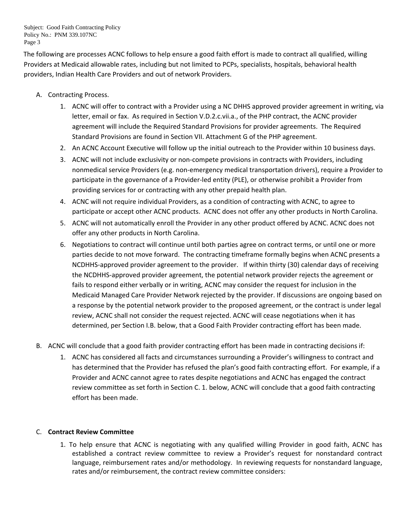Subject: Good Faith Contracting Policy Policy No.: PNM 339.107NC Page 3

The following are processes ACNC follows to help ensure a good faith effort is made to contract all qualified, willing Providers at Medicaid allowable rates, including but not limited to PCPs, specialists, hospitals, behavioral health providers, Indian Health Care Providers and out of network Providers.

- A. Contracting Process.
	- 1. ACNC will offer to contract with a Provider using a NC DHHS approved provider agreement in writing, via letter, email or fax. As required in Section V.D.2.c.vii.a., of the PHP contract, the ACNC provider agreement will include the Required Standard Provisions for provider agreements. The Required Standard Provisions are found in Section VII. Attachment G of the PHP agreement.
	- 2. An ACNC Account Executive will follow up the initial outreach to the Provider within 10 business days.
	- 3. ACNC will not include exclusivity or non-compete provisions in contracts with Providers, including nonmedical service Providers (e.g. non-emergency medical transportation drivers), require a Provider to participate in the governance of a Provider-led entity (PLE), or otherwise prohibit a Provider from providing services for or contracting with any other prepaid health plan.
	- 4. ACNC will not require individual Providers, as a condition of contracting with ACNC, to agree to participate or accept other ACNC products. ACNC does not offer any other products in North Carolina.
	- 5. ACNC will not automatically enroll the Provider in any other product offered by ACNC. ACNC does not offer any other products in North Carolina.
	- 6. Negotiations to contract will continue until both parties agree on contract terms, or until one or more parties decide to not move forward. The contracting timeframe formally begins when ACNC presents a NCDHHS-approved provider agreement to the provider. If within thirty (30) calendar days of receiving the NCDHHS-approved provider agreement, the potential network provider rejects the agreement or fails to respond either verbally or in writing, ACNC may consider the request for inclusion in the Medicaid Managed Care Provider Network rejected by the provider. If discussions are ongoing based on a response by the potential network provider to the proposed agreement, or the contract is under legal review, ACNC shall not consider the request rejected. ACNC will cease negotiations when it has determined, per Section I.B. below, that a Good Faith Provider contracting effort has been made.
- B. ACNC will conclude that a good faith provider contracting effort has been made in contracting decisions if:
	- 1. ACNC has considered all facts and circumstances surrounding a Provider's willingness to contract and has determined that the Provider has refused the plan's good faith contracting effort. For example, if a Provider and ACNC cannot agree to rates despite negotiations and ACNC has engaged the contract review committee as set forth in Section C. 1. below, ACNC will conclude that a good faith contracting effort has been made.

## C. **Contract Review Committee**

1. To help ensure that ACNC is negotiating with any qualified willing Provider in good faith, ACNC has established a contract review committee to review a Provider's request for nonstandard contract language, reimbursement rates and/or methodology. In reviewing requests for nonstandard language, rates and/or reimbursement, the contract review committee considers: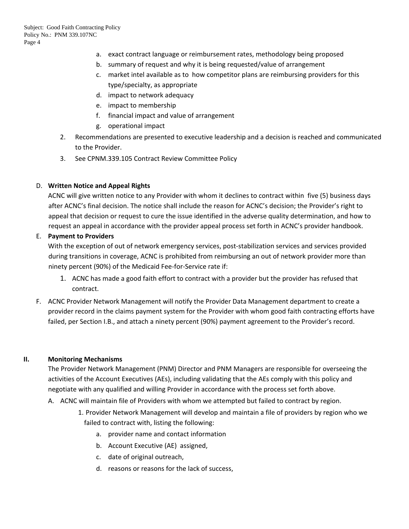- a. exact contract language or reimbursement rates, methodology being proposed
- b. summary of request and why it is being requested/value of arrangement
- c. market intel available as to how competitor plans are reimbursing providers for this type/specialty, as appropriate
- d. impact to network adequacy
- e. impact to membership
- f. financial impact and value of arrangement
- g. operational impact
- 2. Recommendations are presented to executive leadership and a decision is reached and communicated to the Provider.
- 3. See CPNM.339.105 Contract Review Committee Policy

# D. **Written Notice and Appeal Rights**

ACNC will give written notice to any Provider with whom it declines to contract within five (5) business days after ACNC's final decision. The notice shall include the reason for ACNC's decision; the Provider's right to appeal that decision or request to cure the issue identified in the adverse quality determination, and how to request an appeal in accordance with the provider appeal process set forth in ACNC's provider handbook.

# E. **Payment to Providers**

With the exception of out of network emergency services, post-stabilization services and services provided during transitions in coverage, ACNC is prohibited from reimbursing an out of network provider more than ninety percent (90%) of the Medicaid Fee-for-Service rate if:

- 1. ACNC has made a good faith effort to contract with a provider but the provider has refused that contract.
- F. ACNC Provider Network Management will notify the Provider Data Management department to create a provider record in the claims payment system for the Provider with whom good faith contracting efforts have failed, per Section I.B., and attach a ninety percent (90%) payment agreement to the Provider's record.

## **II. Monitoring Mechanisms**

The Provider Network Management (PNM) Director and PNM Managers are responsible for overseeing the activities of the Account Executives (AEs), including validating that the AEs comply with this policy and negotiate with any qualified and willing Provider in accordance with the process set forth above.

- A. ACNC will maintain file of Providers with whom we attempted but failed to contract by region.
	- 1. Provider Network Management will develop and maintain a file of providers by region who we failed to contract with, listing the following:
		- a. provider name and contact information
		- b. Account Executive (AE) assigned,
		- c. date of original outreach,
		- d. reasons or reasons for the lack of success,